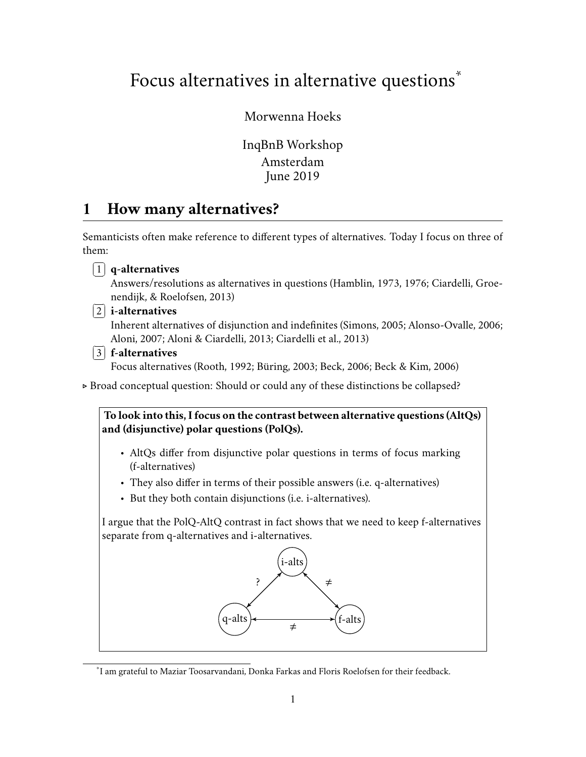# Focus alternatives in alternative questions<sup>\*</sup>

# Morwenna Hoeks

InqBnB Workshop Amsterdam June 2019

# **1 How many alternatives?**

Semanticists often make reference to different types of alternatives. Today I focus on three of them:



. Broad conceptual question: Should or could any of these distinctions be collapsed?

**To look into this, I focus on the contrast between alternative questions (AltQs) and (disjunctive) polar questions (PolQs).**

- AltQs differ from disjunctive polar questions in terms of focus marking (f-alternatives)
- They also differ in terms of their possible answers (i.e. q-alternatives)
- But they both contain disjunctions (i.e. i-alternatives).

I argue that the PolQ-AltQ contrast in fact shows that we need to keep f-alternatives separate from q-alternatives and i-alternatives.



<sup>\*</sup> I am grateful to Maziar Toosarvandani, Donka Farkas and Floris Roelofsen for their feedback.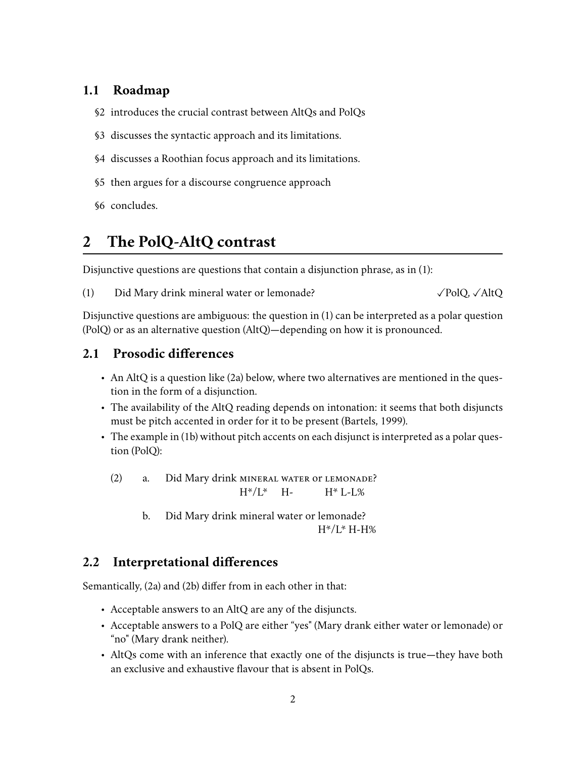# **1.1 Roadmap**

- §2 introduces the crucial contrast between AltQs and PolQs
- §3 discusses the syntactic approach and its limitations.
- §4 discusses a Roothian focus approach and its limitations.
- §5 then argues for a discourse congruence approach
- §6 concludes.

# **2 The PolQ-AltQ contrast**

Disjunctive questions are questions that contain a disjunction phrase, as in (1):

(1) Did Mary drink mineral water or lemonade?  $\angle$  PolQ,  $\angle$ AltQ

Disjunctive questions are ambiguous: the question in (1) can be interpreted as a polar question (PolQ) or as an alternative question (AltQ)—depending on how it is pronounced.

# **2.1 Prosodic differences**

- An AltQ is a question like (2a) below, where two alternatives are mentioned in the question in the form of a disjunction.
- The availability of the AltQ reading depends on intonation: it seems that both disjuncts must be pitch accented in order for it to be present (Bartels, 1999).
- The example in (1b) without pitch accents on each disjunct is interpreted as a polar question (PolQ):
	- (2) a. Did Mary drink mineral water or lemonade?  $H^*/L^*$  H- $H^*$  L-L%
		- b. Did Mary drink mineral water or lemonade?  $H^*/L^*$  H-H%

# **2.2 Interpretational differences**

Semantically, (2a) and (2b) differ from in each other in that:

- Acceptable answers to an AltQ are any of the disjuncts.
- Acceptable answers to a PolQ are either "yes" (Mary drank either water or lemonade) or "no" (Mary drank neither).
- AltQs come with an inference that exactly one of the disjuncts is true—they have both an exclusive and exhaustive flavour that is absent in PolQs.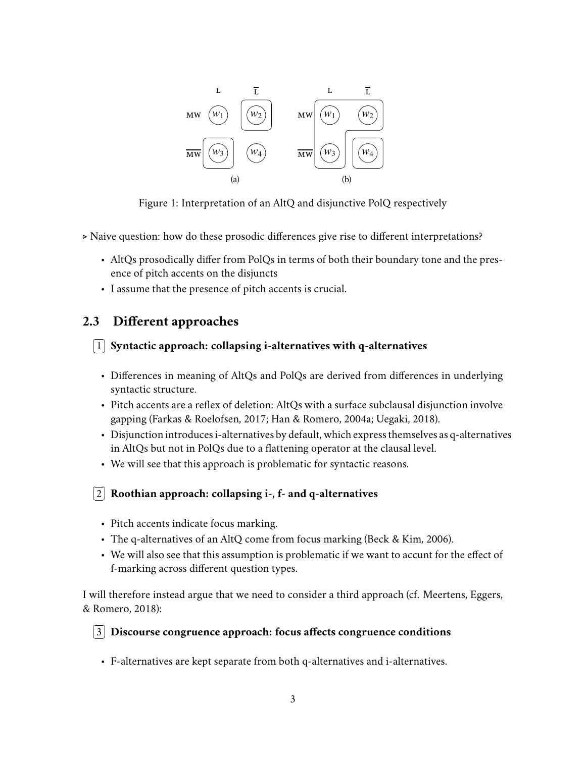

Figure 1: Interpretation of an AltQ and disjunctive PolQ respectively

. Naive question: how do these prosodic differences give rise to different interpretations?

- AltQs prosodically differ from PolQs in terms of both their boundary tone and the presence of pitch accents on the disjuncts
- I assume that the presence of pitch accents is crucial.

# **2.3 Different approaches**

#### ✄ Ļ  $\overline{a}$  $\boxed{1}$  Syntactic approach: collapsing i-alternatives with q-alternatives

- Differences in meaning of AltQs and PolQs are derived from differences in underlying syntactic structure.
- Pitch accents are a reflex of deletion: AltQs with a surface subclausal disjunction involve gapping (Farkas & Roelofsen, 2017; Han & Romero, 2004a; Uegaki, 2018).
- Disjunction introduces i-alternatives by default, which express themselves as q-alternatives in AltQs but not in PolQs due to a flattening operator at the clausal level.
- We will see that this approach is problematic for syntactic reasons.

#### ✄ Ļ  $\overline{a}$ ✁ 2 **Roothian approach: collapsing i-, f- and q-alternatives**

- Pitch accents indicate focus marking.
- The q-alternatives of an AltQ come from focus marking (Beck & Kim, 2006).
- We will also see that this assumption is problematic if we want to accunt for the effect of f-marking across different question types.

I will therefore instead argue that we need to consider a third approach (cf. Meertens, Eggers, & Romero, 2018):

#### $\sqrt{2}$  $\overline{a}$  $\overline{a}$ ✁ 3 **Discourse congruence approach: focus affects congruence conditions**

• F-alternatives are kept separate from both q-alternatives and i-alternatives.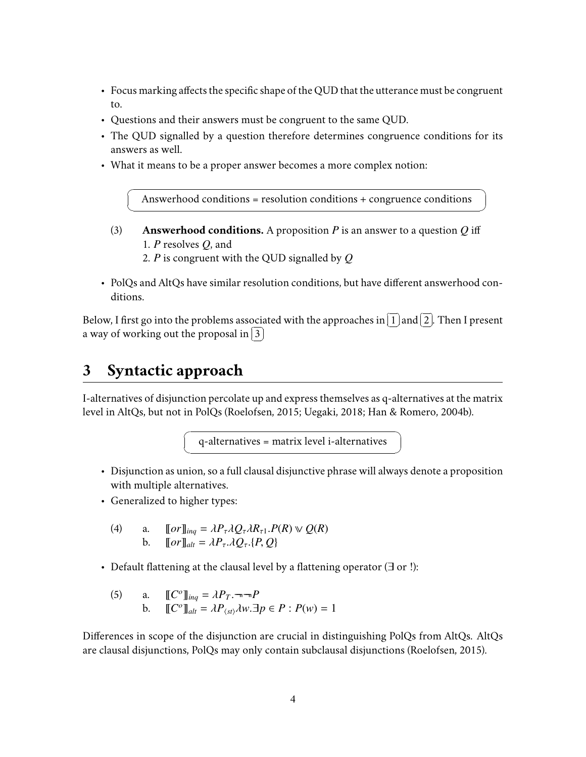- Focus marking affects the specific shape of the QUD that the utterance must be congruent to.
- Questions and their answers must be congruent to the same QUD.
- The QUD signalled by a question therefore determines congruence conditions for its answers as well.
- What it means to be a proper answer becomes a more complex notion:

☛ Answerhood conditions = resolution conditions + congruence conditions

- (3) **Answerhood conditions.** A proposition *P* is an answer to a question *Q* iff 1. *P* resolves *Q*, and
	- 2. *P* is congruent with the QUD signalled by *Q*
- PolQs and AltQs have similar resolution conditions, but have different answerhood conditions.

Below. I first go into the problems associated with the approaches in  $\lceil$  $\overline{a}$ l. ا<br>ا  $\overline{1}$  and  $\overline{1}$  $\overline{\phantom{0}}$ l.  $\vdots$  $\overline{2}$  . Then I present  $\frac{1}{2}$  a way of working out the proposal in ✂ ✁ Ě 3

# **3 Syntactic approach**

 $\searrow$ 

I-alternatives of disjunction percolate up and express themselves as q-alternatives at the matrix level in AltQs, but not in PolQs (Roelofsen, 2015; Uegaki, 2018; Han & Romero, 2004b).

 $\it q\mbox{-}alternatives = matrix$  level i-alternatives

- Disjunction as union, so a full clausal disjunctive phrase will always denote a proposition with multiple alternatives.
- Generalized to higher types:

☛

 $\searrow$ 

(4) a. 
$$
\llbracket or \rrbracket_{inq} = \lambda P_{\tau} \lambda Q_{\tau} \lambda R_{\tau 1}. P(R) \vee Q(R)
$$
  
b. 
$$
\llbracket or \rrbracket_{alt} = \lambda P_{\tau} \lambda Q_{\tau}. \{P, Q\}
$$

- Default flattening at the clausal level by a flattening operator (∃ or !):
	- (5) a.  $\mathbb{C}^{\circ}$   $\lim_{n \to \infty} \frac{1}{n} \lambda P_T \cdot \lim_{n \to \infty} P$ **b.**  $\left[\mathbb{C}^{\circ}\right]_{alt} = \lambda P_{\langle st \rangle} \lambda w \cdot \exists p \in P : P(w) = 1$

Differences in scope of the disjunction are crucial in distinguishing PolQs from AltQs. AltQs are clausal disjunctions, PolQs may only contain subclausal disjunctions (Roelofsen, 2015).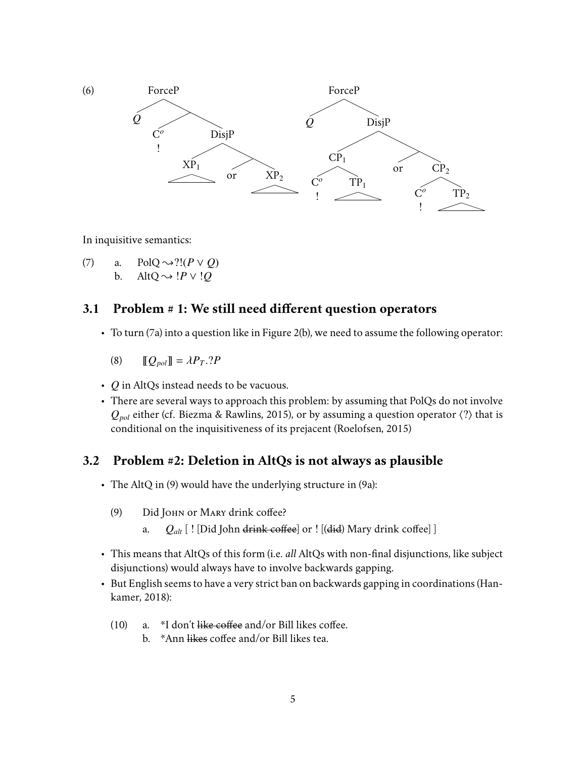

In inquisitive semantics:

(7) a. PolQ  $\rightsquigarrow$ ?!( $P \vee Q$ ) b. AltQ  $\rightsquigarrow$  *!P*  $\vee$  *!Q* 

## **3.1 Problem # 1: We still need different question operators**

• To turn (7a) into a question like in Figure 2(b), we need to assume the following operator:

$$
(8) \qquad [\![Q_{pol}]\!] = \lambda P_T \cdot ?P
$$

- *Q* in AltQs instead needs to be vacuous.
- There are several ways to approach this problem: by assuming that PolQs do not involve  $Q_{pol}$  either (cf. Biezma & Rawlins, 2015), or by assuming a question operator  $\langle ? \rangle$  that is conditional on the inquisitiveness of its prejacent (Roelofsen, 2015)

#### **3.2 Problem #2: Deletion in AltQs is not always as plausible**

- The AltQ in (9) would have the underlying structure in (9a):
	- (9) Did JOHN or MARY drink coffee?
		- a. *Qalt* [ ! [Did John drink coffee] or ! [(did) Mary drink coffee] ]
- This means that AltQs of this form (i.e. *all* AltQs with non-final disjunctions, like subject disjunctions) would always have to involve backwards gapping.
- But English seems to have a very strict ban on backwards gapping in coordinations (Hankamer, 2018):
	- (10) a.  $*I$  don't like coffee and/or Bill likes coffee.
		- b. \*Ann likes coffee and/or Bill likes tea.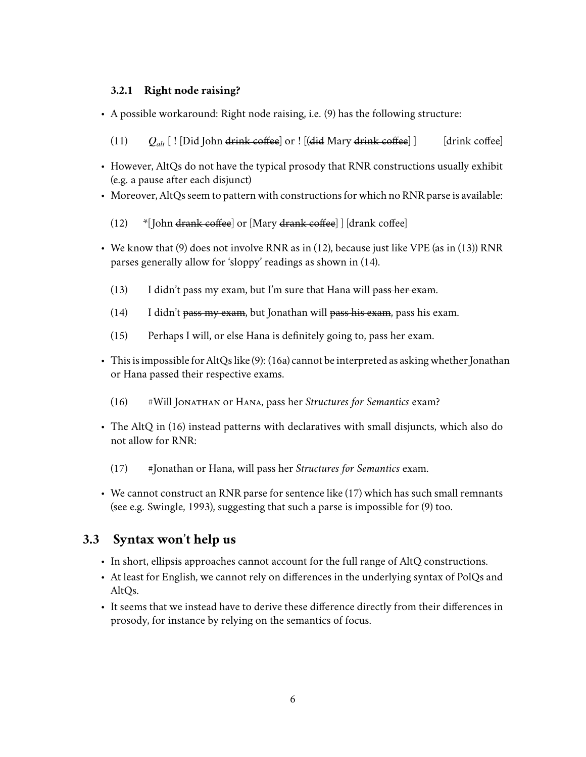#### **3.2.1 Right node raising?**

- A possible workaround: Right node raising, i.e. (9) has the following structure:
	- (11)  $Q_{alt}$  [ ! [Did John drink coffee] or ! [(did Mary drink coffee] ] [drink coffee]
- However, AltQs do not have the typical prosody that RNR constructions usually exhibit (e.g. a pause after each disjunct)
- Moreover, AltQs seem to pattern with constructions for which no RNR parse is available:
	- (12) \*[ John drank coffee] or [Mary drank coffee] ] [drank coffee]
- We know that (9) does not involve RNR as in (12), because just like VPE (as in (13)) RNR parses generally allow for 'sloppy' readings as shown in (14).
	- (13) I didn't pass my exam, but I'm sure that Hana will pass her exam.
	- (14) I didn't pass my exam, but Jonathan will pass his exam, pass his exam.
	- (15) Perhaps I will, or else Hana is definitely going to, pass her exam.
- This is impossible for AltQs like (9): (16a) cannot be interpreted as asking whether Jonathan or Hana passed their respective exams.
	- (16) #Will Jonathan or Hana, pass her *Structures for Semantics* exam?
- The AltQ in (16) instead patterns with declaratives with small disjuncts, which also do not allow for RNR:
	- (17) #Jonathan or Hana, will pass her *Structures for Semantics* exam.
- We cannot construct an RNR parse for sentence like (17) which has such small remnants (see e.g. Swingle, 1993), suggesting that such a parse is impossible for (9) too.

# **3.3 Syntax won't help us**

- In short, ellipsis approaches cannot account for the full range of AltQ constructions.
- At least for English, we cannot rely on differences in the underlying syntax of PolQs and AltO<sub>s</sub>.
- It seems that we instead have to derive these difference directly from their differences in prosody, for instance by relying on the semantics of focus.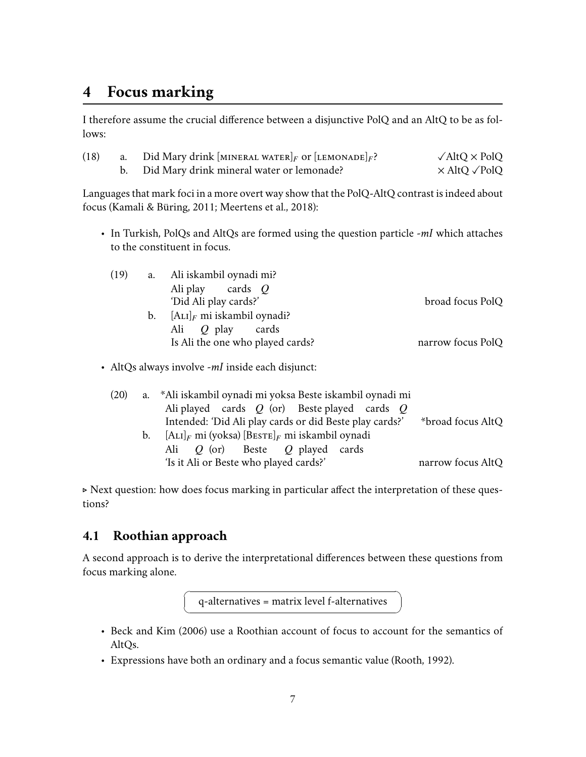# **4 Focus marking**

I therefore assume the crucial difference between a disjunctive PolQ and an AltQ to be as follows:

| (18) | a. Did Mary drink [MINERAL WATER] <sub>F</sub> or [LEMONADE] <sub>F</sub> ? | $\sqrt{\text{AltQ}} \times \text{PolQ}$ |
|------|-----------------------------------------------------------------------------|-----------------------------------------|
|      | b. Did Mary drink mineral water or lemonade?                                | $\times$ AltO $\sqrt{P}$ olO            |

Languages that mark foci in a more overt way show that the PolQ-AltQ contrast is indeed about focus (Kamali & Büring, 2011; Meertens et al., 2018):

• In Turkish, PolQs and AltQs are formed using the question particle *-mI* which attaches to the constituent in focus.

| (19) | a. | Ali iskambil oynadi mi?          |                   |
|------|----|----------------------------------|-------------------|
|      |    | Ali play cards $Q$               |                   |
|      |    | 'Did Ali play cards?'            | broad focus PolQ  |
|      | b. | $[A_{LI}]_F$ mi iskambil oynadi? |                   |
|      |    | Ali $\overline{O}$ play<br>cards |                   |
|      |    | Is Ali the one who played cards? | narrow focus PolQ |

• AltQs always involve *-mI* inside each disjunct:

| (20) |         | a. *Ali iskambil oynadi mi yoksa Beste iskambil oynadi mi                     |                   |
|------|---------|-------------------------------------------------------------------------------|-------------------|
|      |         | Ali played cards $Q$ (or) Beste played cards $Q$                              |                   |
|      |         | Intended: 'Did Ali play cards or did Beste play cards?'                       | *broad focus AltQ |
|      | $b_{1}$ | $[\text{A}_{\text{LI}}]_F$ mi (yoksa) [BESTE] <sub>F</sub> mi iskambil oynadi |                   |
|      |         | Ali $Q$ (or) Beste $Q$ played cards                                           |                   |
|      |         | 'Is it Ali or Beste who played cards?'                                        | narrow focus AltQ |

. Next question: how does focus marking in particular affect the interpretation of these questions?

# **4.1 Roothian approach**

☛

 $\searrow$ 

A second approach is to derive the interpretational differences between these questions from focus marking alone.

 $q$ -alternatives = matrix level f-alternatives

- Beck and Kim (2006) use a Roothian account of focus to account for the semantics of AltQs.
- Expressions have both an ordinary and a focus semantic value (Rooth, 1992).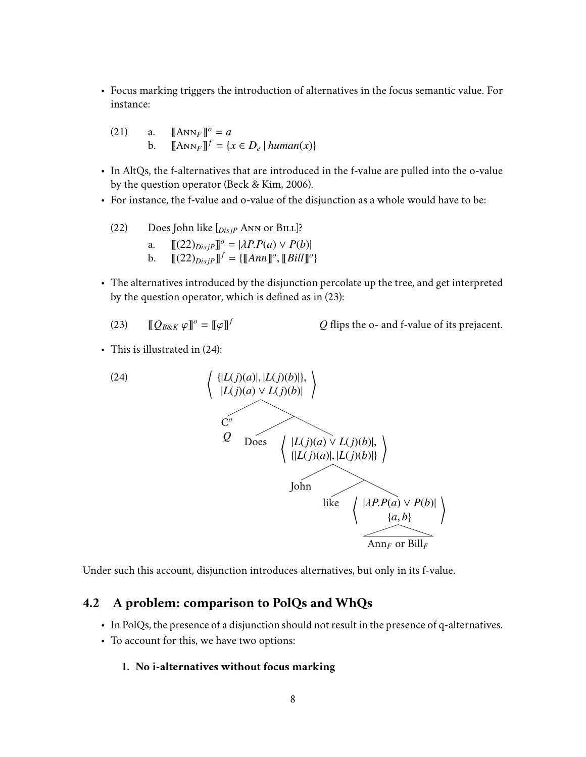• Focus marking triggers the introduction of alternatives in the focus semantic value. For instance:

(21) a. 
$$
[\![ \text{Ann}_F ]\!]^o = a
$$
  
b. 
$$
[\![ \text{Ann}_F ]\!]^f = \{x \in D_e \mid \text{human}(x) \}
$$

- In AltQs, the f-alternatives that are introduced in the f-value are pulled into the o-value by the question operator (Beck & Kim, 2006).
- For instance, the f-value and o-value of the disjunction as a whole would have to be:

(22) Does John like 
$$
[_{DisjP}
$$
 ANN or BILL]<sup>?</sup>  
a. 
$$
[[(22)_{DisjP}]^o = |\lambda P.P(a) \vee P(b)|
$$
b. 
$$
[[(22)_{DisjP}]^f = \{[[Ann]]^o, [[Bill]]^o\}
$$

- The alternatives introduced by the disjunction percolate up the tree, and get interpreted by the question operator, which is defined as in (23):
	- (23)  $\mathbb{Q}_{B\&K} \varphi \mathbb{J}^{\circ} = \mathbb{Q} \varphi \mathbb{J}$

*<sup>f</sup> Q* flips the o- and f-value of its prejacent.

• This is illustrated in (24):



Under such this account, disjunction introduces alternatives, but only in its f-value.

### **4.2 A problem: comparison to PolQs and WhQs**

- In PolQs, the presence of a disjunction should not result in the presence of q-alternatives.
- To account for this, we have two options:

#### **1. No i-alternatives without focus marking**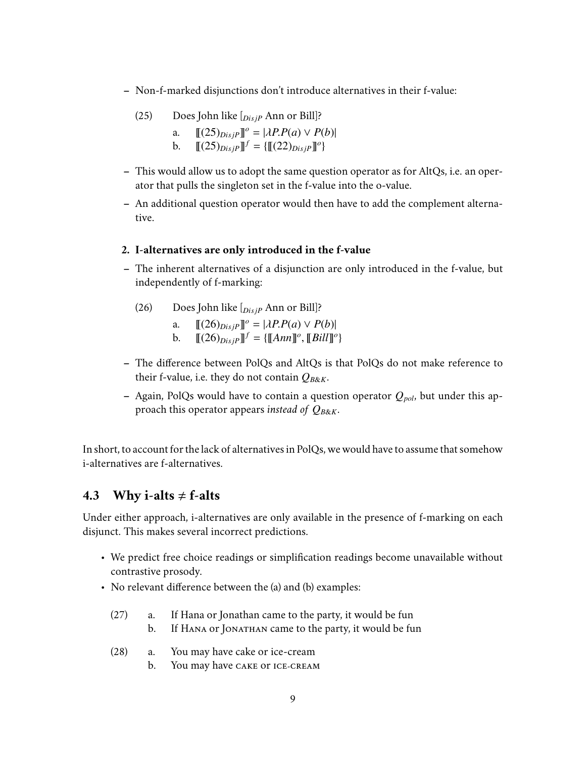- **–** Non-f-marked disjunctions don't introduce alternatives in their f-value:
	- (25) Does John like [*Dis jP* Ann or Bill]?
		- a.  $[(25)_{Disp}^{\circ}]^{\circ} = |\lambda P.P(a) \vee P(b)|$ <br>b  $[(25)_{Disp}^{\circ}]^{\circ} = [T(22)_{Disp}^{\circ}]^{\circ}$
		- b.  $\llbracket (25)_{DisjP} \rrbracket^f = \{ \llbracket (22)_{DisjP} \rrbracket^o \}$
- **–** This would allow us to adopt the same question operator as for AltQs, i.e. an operator that pulls the singleton set in the f-value into the o-value.
- **–** An additional question operator would then have to add the complement alternative.

#### **2. I-alternatives are only introduced in the f-value**

- **–** The inherent alternatives of a disjunction are only introduced in the f-value, but independently of f-marking:
	- (26) Does John like [*Dis jP* Ann or Bill]?
		- a.  $[(26)_{Disp}]\]^\circ = |\lambda P.P(a) \vee P(b)|$ <br>b  $[(26)_{Disp}]\]^\circ = [(\text{Map}]\]^\circ$
		- b.  $\mathbb{I}(26)_{DisjP} \mathbb{J}^f = \{ [\![Ann]]^o, [\![Bill]]^o \}$
- **–** The difference between PolQs and AltQs is that PolQs do not make reference to their f-value, i.e. they do not contain  $Q_{B\&K}$ .
- **–** Again, PolQs would have to contain a question operator *Qpol*, but under this approach this operator appears *instead of Q<sup>B</sup>*&*<sup>K</sup>*.

In short, to account for the lack of alternatives in PolQs, we would have to assume that somehow i-alternatives are f-alternatives.

#### **4.3** Why i-alts  $\neq$  f-alts

Under either approach, i-alternatives are only available in the presence of f-marking on each disjunct. This makes several incorrect predictions.

- We predict free choice readings or simplification readings become unavailable without contrastive prosody.
- No relevant difference between the (a) and (b) examples:
	- (27) a. If Hana or Jonathan came to the party, it would be fun
		- b. If HANA or JONATHAN came to the party, it would be fun
	- (28) a. You may have cake or ice-cream
		- b. You may have cake or ice-cream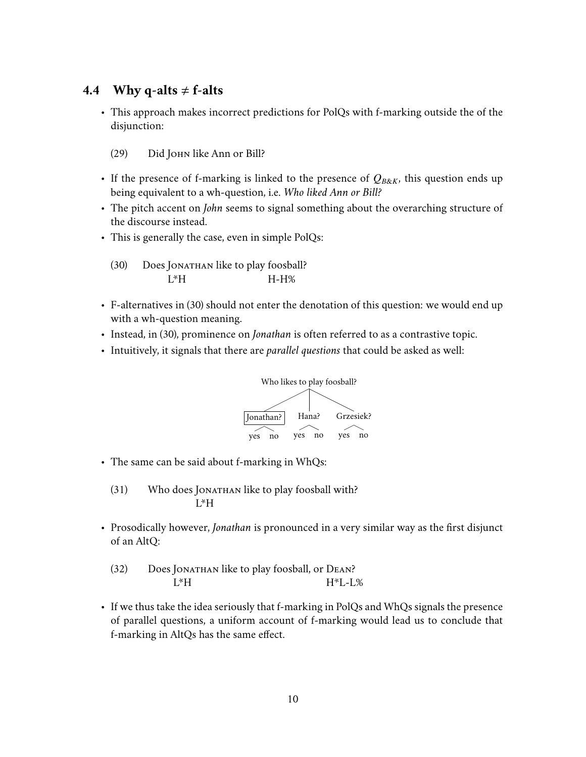## **4.4 Why q-alts**  $\neq$  **f-alts**

- This approach makes incorrect predictions for PolQs with f-marking outside the of the disjunction:
	- (29) Did John like Ann or Bill?
- If the presence of f-marking is linked to the presence of  $Q_{B\&K}$ , this question ends up being equivalent to a wh-question, i.e. *Who liked Ann or Bill?*
- The pitch accent on *John* seems to signal something about the overarching structure of the discourse instead.
- This is generally the case, even in simple PolQs:
	- (30) Does Jonathan like to play foosball? L\*H H-H%
- F-alternatives in (30) should not enter the denotation of this question: we would end up with a wh-question meaning.
- Instead, in (30), prominence on *Jonathan* is often referred to as a contrastive topic.
- Intuitively, it signals that there are *parallel questions* that could be asked as well:



• The same can be said about f-marking in WhQs:

(31) Who does Ionathan like to play foosball with? L\*H

• Prosodically however, *Jonathan* is pronounced in a very similar way as the first disjunct of an AltQ:

(32) Does Jonathan like to play foosball, or Dean? L\*H H\*L-L%

• If we thus take the idea seriously that f-marking in PolQs and WhQs signals the presence of parallel questions, a uniform account of f-marking would lead us to conclude that f-marking in AltQs has the same effect.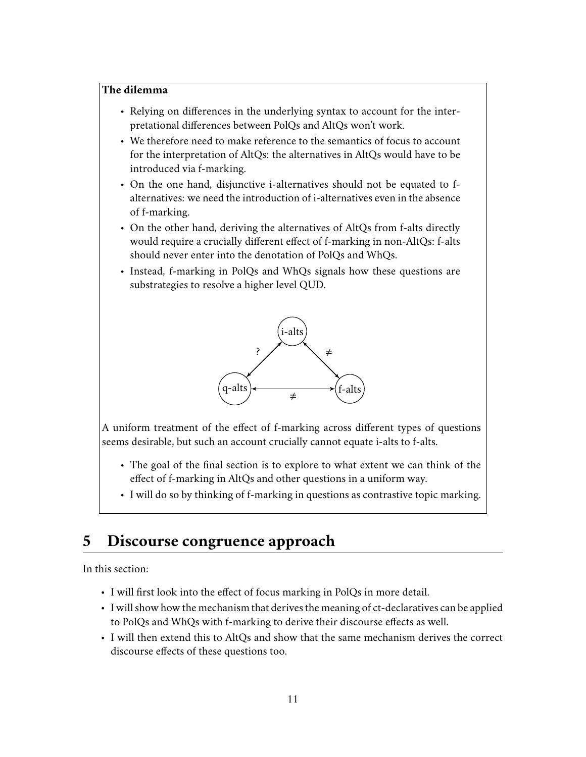#### **The dilemma**

- Relying on differences in the underlying syntax to account for the interpretational differences between PolQs and AltQs won't work.
- We therefore need to make reference to the semantics of focus to account for the interpretation of AltQs: the alternatives in AltQs would have to be introduced via f-marking.
- On the one hand, disjunctive i-alternatives should not be equated to falternatives: we need the introduction of i-alternatives even in the absence of f-marking.
- On the other hand, deriving the alternatives of AltQs from f-alts directly would require a crucially different effect of f-marking in non-AltQs: f-alts should never enter into the denotation of PolQs and WhQs.
- Instead, f-marking in PolQs and WhQs signals how these questions are substrategies to resolve a higher level QUD.



A uniform treatment of the effect of f-marking across different types of questions seems desirable, but such an account crucially cannot equate i-alts to f-alts.

- The goal of the final section is to explore to what extent we can think of the effect of f-marking in AltQs and other questions in a uniform way.
- I will do so by thinking of f-marking in questions as contrastive topic marking.

# **5 Discourse congruence approach**

In this section:

- I will first look into the effect of focus marking in PolQs in more detail.
- I will show how the mechanism that derives the meaning of ct-declaratives can be applied to PolQs and WhQs with f-marking to derive their discourse effects as well.
- I will then extend this to AltQs and show that the same mechanism derives the correct discourse effects of these questions too.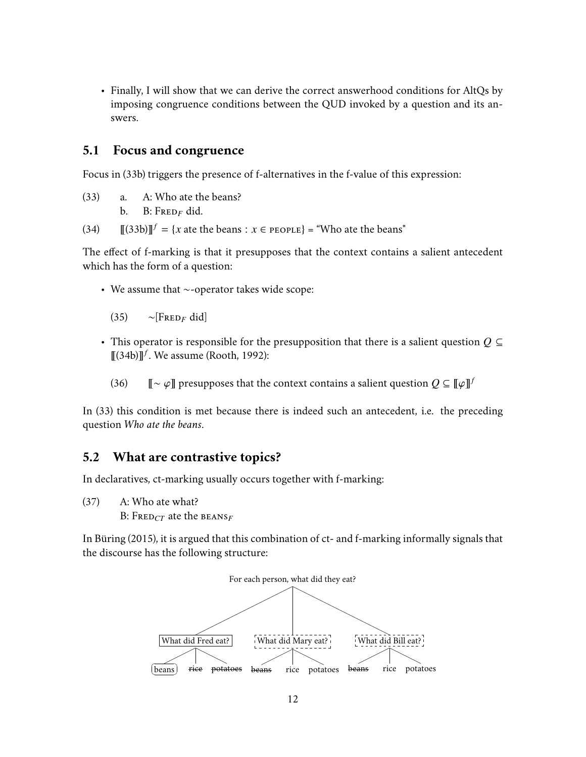• Finally, I will show that we can derive the correct answerhood conditions for AltQs by imposing congruence conditions between the QUD invoked by a question and its answers.

### **5.1 Focus and congruence**

Focus in (33b) triggers the presence of f-alternatives in the f-value of this expression:

(33) a. A: Who ate the beans? b. B:  $F_{RED_F}$  did.

(34)  $[[(33b)]]^{f} = {x \text{ ate the beans} : x \in \text{People}} = "Who ate the beans"$ 

The effect of f-marking is that it presupposes that the context contains a salient antecedent which has the form of a question:

• We assume that ∼-operator takes wide scope:

 $\sim$ [FRED<sub>F</sub> did]

- This operator is responsible for the presupposition that there is a salient question *Q* ⊆  $\overline{\mathbb{I}}(34b)\overline{\mathbb{I}^f}$ . We assume (Rooth, 1992):
	- (36)  $\mathbb{I} \sim \varphi \mathbb{I}$  presupposes that the context contains a salient question  $Q \subseteq \llbracket \varphi \rrbracket^f$

In (33) this condition is met because there is indeed such an antecedent, i.e. the preceding question *Who ate the beans*.

### **5.2 What are contrastive topics?**

In declaratives, ct-marking usually occurs together with f-marking:

(37) A: Who ate what?

B: FRED<sub>CT</sub> ate the BEANS<sub>F</sub>

In Büring (2015), it is argued that this combination of ct- and f-marking informally signals that the discourse has the following structure:

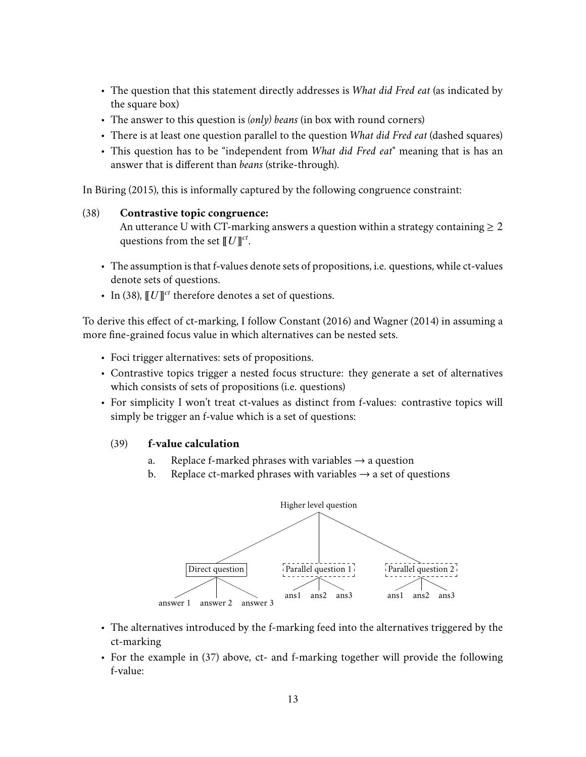- The question that this statement directly addresses is *What did Fred eat* (as indicated by the square box)
- The answer to this question is *(only) beans* (in box with round corners)
- There is at least one question parallel to the question *What did Fred eat* (dashed squares)
- This question has to be "independent from *What did Fred eat*" meaning that is has an answer that is different than *beans* (strike-through).

In Büring (2015), this is informally captured by the following congruence constraint:

#### (38) **Contrastive topic congruence:**

An utterance U with CT-marking answers a question within a strategy containing  $\geq 2$ questions from the set  $[$   $U$   $]$   $^{ct}$ .

- The assumption is that f-values denote sets of propositions, i.e. questions, while ct-values denote sets of questions.
- In (38),  $[*U*]]<sup>ct</sup>$  therefore denotes a set of questions.

To derive this effect of ct-marking, I follow Constant (2016) and Wagner (2014) in assuming a more fine-grained focus value in which alternatives can be nested sets.

- Foci trigger alternatives: sets of propositions.
- Contrastive topics trigger a nested focus structure: they generate a set of alternatives which consists of sets of propositions (i.e. questions)
- For simplicity I won't treat ct-values as distinct from f-values: contrastive topics will simply be trigger an f-value which is a set of questions:

#### (39) **f-value calculation**

- a. Replace f-marked phrases with variables  $\rightarrow$  a question
- b. Replace ct-marked phrases with variables  $\rightarrow$  a set of questions



- The alternatives introduced by the f-marking feed into the alternatives triggered by the ct-marking
- For the example in (37) above, ct- and f-marking together will provide the following f-value: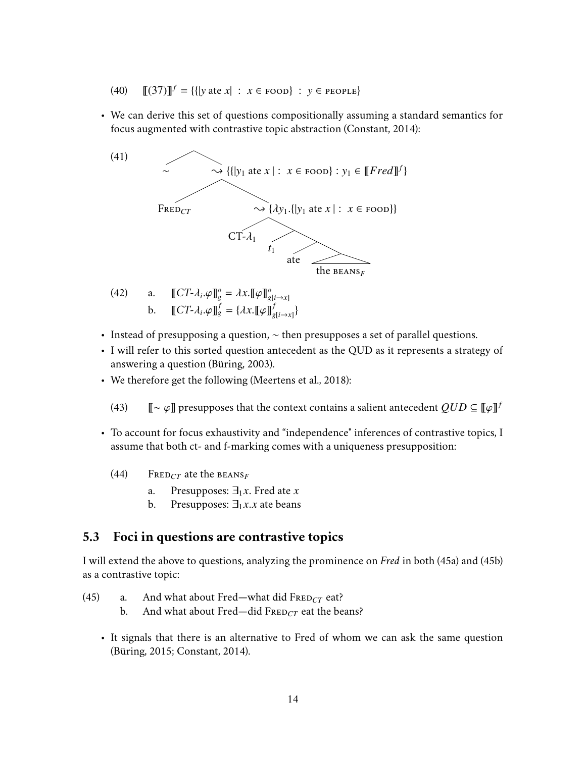- $(40)$   $[[(37)]^f = {[{|}y \text{ ate } x| : x \in \text{room}} : y \in \text{people}$
- We can derive this set of questions compositionally assuming a standard semantics for focus augmented with contrastive topic abstraction (Constant, 2014):



- (42) a.  $\llbracket CT-\lambda_i.\varphi \rrbracket_g^o = \lambda x. \llbracket \varphi \rrbracket_{g[i \to x]}^o$ **b**.  $\llbracket CT-\lambda_i.\varphi \rrbracket_g^f = \{\lambda x. \llbracket \varphi \rrbracket_g^f\}$  $\frac{f}{g[i\rightarrow x]}\}$
- Instead of presupposing a question, ∼ then presupposes a set of parallel questions.
- I will refer to this sorted question antecedent as the QUD as it represents a strategy of answering a question (Büring, 2003).
- We therefore get the following (Meertens et al., 2018):
	- (43)  $\mathbb{I} \sim \varphi \mathbb{I}$  presupposes that the context contains a salient antecedent  $QUD \subseteq \llbracket \varphi \rrbracket^f$
- To account for focus exhaustivity and "independence" inferences of contrastive topics, I assume that both ct- and f-marking comes with a uniqueness presupposition:
	- $(44)$  FRED<sub>CT</sub> ate the BEANS<sub>F</sub>
		- a. Presupposes:  $\exists_1 x$ . Fred ate *x* b. Presupposes:  $\exists_1 x. x$  ate beans
		- Presupposes:  $\exists_1 x. x$  ate beans

## **5.3 Foci in questions are contrastive topics**

I will extend the above to questions, analyzing the prominence on *Fred* in both (45a) and (45b) as a contrastive topic:

- (45) a. And what about Fred—what did  $F_{REDCT}$  eat?
	- b. And what about Fred—did FRED<sub>CT</sub> eat the beans?
	- It signals that there is an alternative to Fred of whom we can ask the same question (Büring, 2015; Constant, 2014).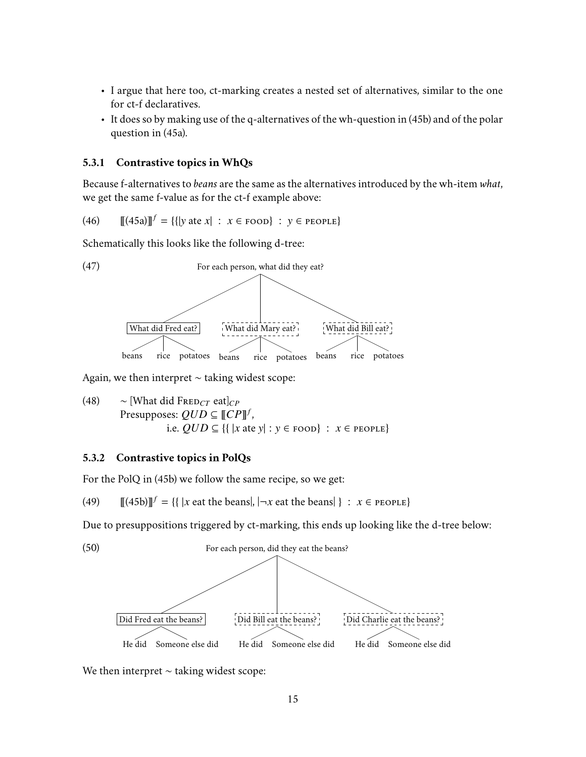- I argue that here too, ct-marking creates a nested set of alternatives, similar to the one for ct-f declaratives.
- It does so by making use of the q-alternatives of the wh-question in (45b) and of the polar question in (45a).

#### **5.3.1 Contrastive topics in WhQs**

Because f-alternatives to *beans* are the same as the alternatives introduced by the wh-item *what*, we get the same f-value as for the ct-f example above:

(46) 
$$
[[45a]]^{f} = \{ [y \text{ ate } x] : x \in \text{room} \} : y \in \text{people} \}
$$

Schematically this looks like the following d-tree:



Again, we then interpret ∼ taking widest scope:

(48) 
$$
\sim
$$
 [What did  $\text{FRED}_{CT} \text{ eat}]_{CP}$   
Presupposes:  $QUD \subseteq [[CP]]^f$ ,  
i.e.  $QUD \subseteq \{ \{ |x \text{ ate } y | : y \in \text{room} \} : x \in \text{PCPLE} \}$ 

#### **5.3.2 Contrastive topics in PolQs**

For the PolQ in (45b) we follow the same recipe, so we get:

(49)  $[[(45b)]]^{f} = { { | x \text{ eat the beans} |, |¬x \text{ eat the beans} | } : x \in \text{PCPLE} }$ 

Due to presuppositions triggered by ct-marking, this ends up looking like the d-tree below:



We then interpret  $\sim$  taking widest scope: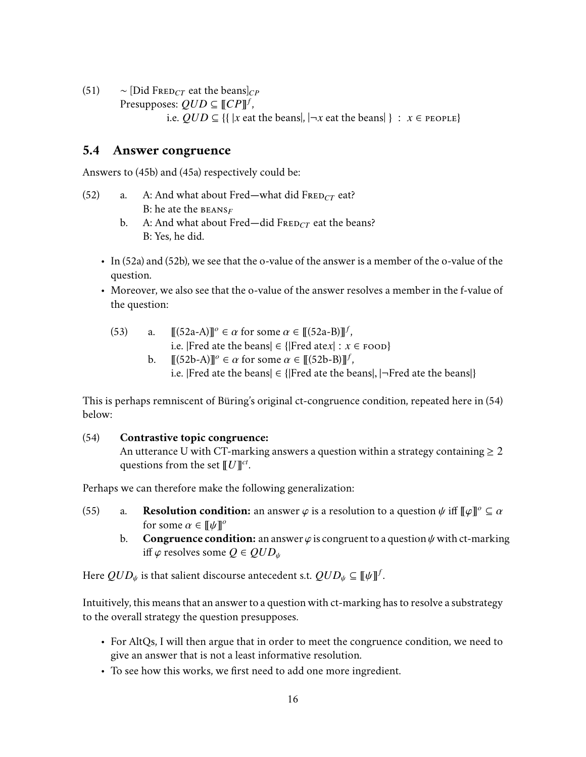(51)  $∼$  [Did FRED<sub>*CT*</sub> eat the beans]<sub>*CP*</sub>

 $\text{Presupposes: } QUD \subseteq \llbracket \text{CP} \rrbracket^f$ ,

i.e.  $QUD \subseteq \{ \{ |x \text{ eat the beans}|, |¬x \text{ eat the beans}| \} : x \in \text{PCPLE} \}$ 

#### **5.4 Answer congruence**

Answers to (45b) and (45a) respectively could be:

- (52) a. A: And what about Fred—what did  $F_{REDCT}$  eat? B: he ate the **BEANS**<sub>F</sub>
	- b. A: And what about Fred—did  $F_{REDCT}$  eat the beans? B: Yes, he did.
	- In (52a) and (52b), we see that the o-value of the answer is a member of the o-value of the question.
	- Moreover, we also see that the o-value of the answer resolves a member in the f-value of the question:
		- (53) a.  $[[(52a-A)]]^\circ \in \alpha$  for some  $\alpha \in [[(52a-B)]]^\circ$ <br>*i* e [Fred ate the beans]  $\in$  [[Fred ate x] : **a** , i.e. |Fred ate the beans| ∈ {|Fred ate*x*| : *x* ∈ FOOD}
			- b.  $[[(52b-A)]]^\circ \in \alpha$  for some  $\alpha \in [[(52b-B)]]^\circ$ <br>*i* e lEred ate the beansl  $\in$  lEred ate the h , i.e. |Fred ate the beans|  $\in$  {|Fred ate the beans|,  $|\neg$ Fred ate the beans|}

This is perhaps remniscent of Büring's original ct-congruence condition, repeated here in (54) below:

#### (54) **Contrastive topic congruence:**

An utterance U with CT-marking answers a question within a strategy containing  $\geq 2$ questions from the set  $[$   $U$   $]$   $^{ct}$ .

Perhaps we can therefore make the following generalization:

- (55) a. **Resolution condition:** an answer  $\varphi$  is a resolution to a question  $\psi$  iff  $[\![\varphi]\!]^\circ \subseteq \alpha$  for some  $\alpha \in [\![\psi]\!]^\circ$ for some  $\alpha \in [\![\psi]\!]^o$ <br>**Congruence condition** 
	- b. **Congruence condition:** an answer  $\varphi$  is congruent to a question  $\psi$  with ct-marking iff  $\varphi$  resolves some  $Q \in QUD_{\psi}$

Here  $QUD_\psi$  is that salient discourse antecedent s.t.  $QUD_\psi \subseteq [\![\psi]\!]^f.$ 

Intuitively, this means that an answer to a question with ct-marking has to resolve a substrategy to the overall strategy the question presupposes.

- For AltQs, I will then argue that in order to meet the congruence condition, we need to give an answer that is not a least informative resolution.
- To see how this works, we first need to add one more ingredient.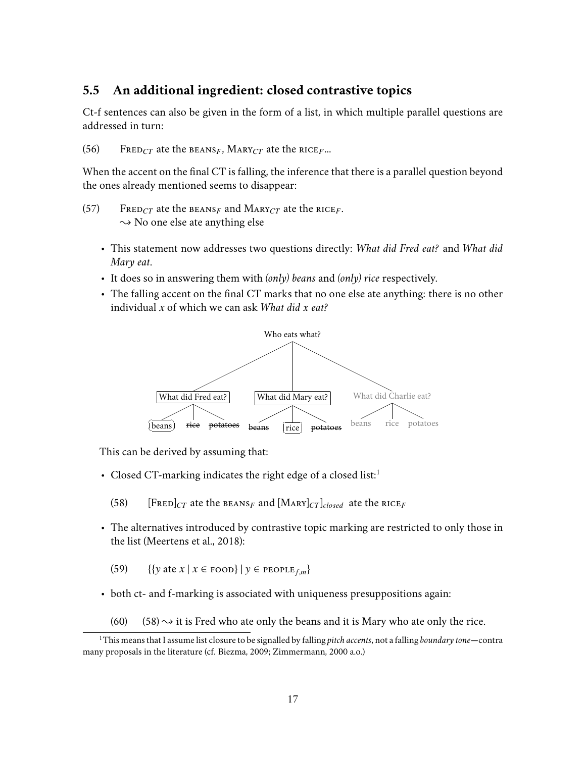## **5.5 An additional ingredient: closed contrastive topics**

Ct-f sentences can also be given in the form of a list, in which multiple parallel questions are addressed in turn:

(56) FRED<sub>CT</sub> ate the BEANS<sub>F</sub>, MARY<sub>CT</sub> ate the RICE<sub>F</sub>...

When the accent on the final CT is falling, the inference that there is a parallel question beyond the ones already mentioned seems to disappear:

- (57) FRED<sub>CT</sub> ate the BEANS<sub>F</sub> and MARY<sub>CT</sub> ate the RICE<sub>F</sub>.  $\rightarrow$  No one else ate anything else
	- This statement now addresses two questions directly: *What did Fred eat?* and *What did Mary eat*.
	- It does so in answering them with *(only) beans* and *(only) rice* respectively.
	- The falling accent on the final CT marks that no one else ate anything: there is no other individual *x* of which we can ask *What did x eat?*



This can be derived by assuming that:

- Closed CT-marking indicates the right edge of a closed list:<sup>1</sup>
	- (58) [FRED] $_{CT}$  ate the BEANS<sub>F</sub> and [MARY] $_{CT}$ ]<sub>closed</sub> ate the RICE<sub>F</sub>
- The alternatives introduced by contrastive topic marking are restricted to only those in the list (Meertens et al., 2018):
	- (59) {{*y* ate *x* | *x* ∈ FOOD} | *y* ∈ PEOPLE<sub>f,m</sub>}
- both ct- and f-marking is associated with uniqueness presuppositions again:
	- (60)  $(58) \rightarrow$  it is Fred who ate only the beans and it is Mary who ate only the rice.

<sup>1</sup>This means that I assume list closure to be signalled by falling *pitch accents*, not a falling *boundary tone*—contra many proposals in the literature (cf. Biezma, 2009; Zimmermann, 2000 a.o.)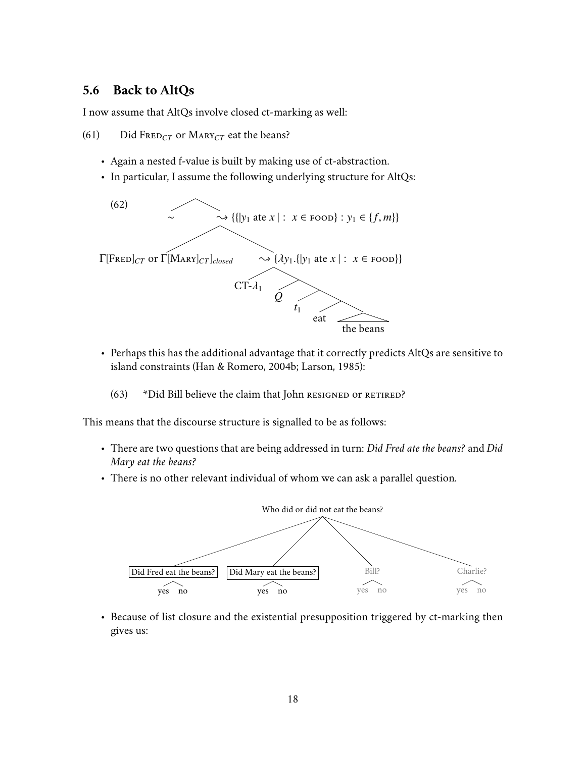## **5.6 Back to AltQs**

I now assume that AltQs involve closed ct-marking as well:

(61) Did FRED<sub>CT</sub> or MARY<sub>CT</sub> eat the beans?

- Again a nested f-value is built by making use of ct-abstraction.
- In particular, I assume the following underlying structure for AltQs:



- Perhaps this has the additional advantage that it correctly predicts AltQs are sensitive to island constraints (Han & Romero, 2004b; Larson, 1985):
	- (63) \*Did Bill believe the claim that John RESIGNED OF RETIRED?

This means that the discourse structure is signalled to be as follows:

- There are two questions that are being addressed in turn: *Did Fred ate the beans?* and *Did Mary eat the beans?*
- There is no other relevant individual of whom we can ask a parallel question.



• Because of list closure and the existential presupposition triggered by ct-marking then gives us: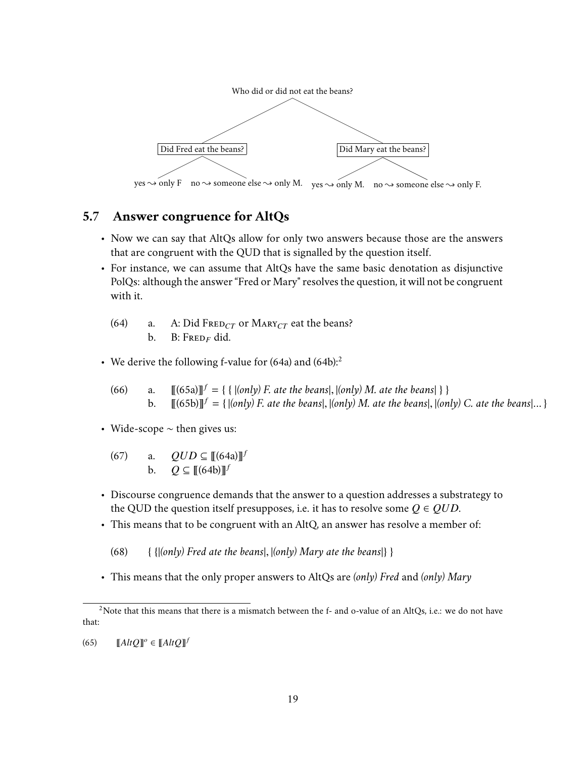

# **5.7 Answer congruence for AltQs**

- Now we can say that AltQs allow for only two answers because those are the answers that are congruent with the QUD that is signalled by the question itself.
- For instance, we can assume that AltQs have the same basic denotation as disjunctive PolQs: although the answer "Fred or Mary" resolves the question, it will not be congruent with it.
	- (64) a. A: Did FRED<sub>CT</sub> or MARY<sub>CT</sub> eat the beans? b. B:  $F_{RED_F}$  did.
- We derive the following f-value for  $(64a)$  and  $(64b)$ :<sup>2</sup>
	- (66) a.  $[[(65a)]]^f = \{ \{ |(only) F, ate the beans|, |(only) M. ate the beans| \} \}$ <br>b.  $[[(65b)]]^f = \{ |(only) F, ate the beans | (only) M. ate the beans | (only) M.$ b.  $\left[ \left[ (65b) \right] \right]^{f} = \{ |(only) F.$  ate the beans $|, |(only) M.$  ate the beans $|, |(only) C.$  ate the beans $|... \}$
- Wide-scope ∼ then gives us:
	- $(67)$  a.  $QUD \subseteq [[(64a)]]^f$ b.  $Q \subseteq [[(64b)]]^f$
- Discourse congruence demands that the answer to a question addresses a substrategy to the QUD the question itself presupposes, i.e. it has to resolve some  $Q \in QUD$ .
- This means that to be congruent with an AltQ, an answer has resolve a member of:
	- (68) { {|*(only) Fred ate the beans*|, <sup>|</sup>*(only) Mary ate the beans*|} }
- This means that the only proper answers to AltQs are *(only) Fred* and *(only) Mary*

 $(65)$   $[AltQ]$ <sup>o</sup>  $\in [AltQ]$ <sup>t</sup>

<sup>&</sup>lt;sup>2</sup>Note that this means that there is a mismatch between the f- and o-value of an AltQs, i.e.: we do not have that: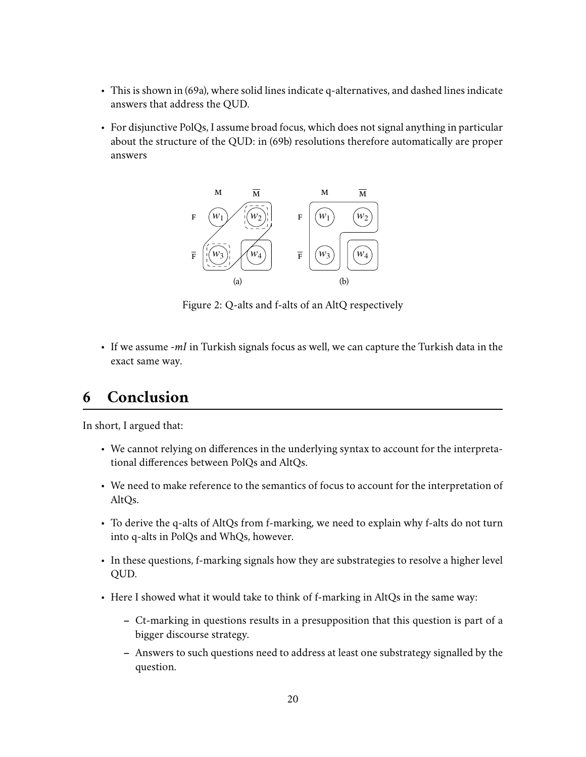- This is shown in (69a), where solid lines indicate q-alternatives, and dashed lines indicate answers that address the QUD.
- For disjunctive PolQs, I assume broad focus, which does not signal anything in particular about the structure of the QUD: in (69b) resolutions therefore automatically are proper answers



Figure 2: Q-alts and f-alts of an AltQ respectively

• If we assume *-mI* in Turkish signals focus as well, we can capture the Turkish data in the exact same way.

# **6 Conclusion**

In short, I argued that:

- We cannot relying on differences in the underlying syntax to account for the interpretational differences between PolQs and AltQs.
- We need to make reference to the semantics of focus to account for the interpretation of AltQs.
- To derive the q-alts of AltQs from f-marking, we need to explain why f-alts do not turn into q-alts in PolQs and WhQs, however.
- In these questions, f-marking signals how they are substrategies to resolve a higher level QUD.
- Here I showed what it would take to think of f-marking in AltQs in the same way:
	- **–** Ct-marking in questions results in a presupposition that this question is part of a bigger discourse strategy.
	- **–** Answers to such questions need to address at least one substrategy signalled by the question.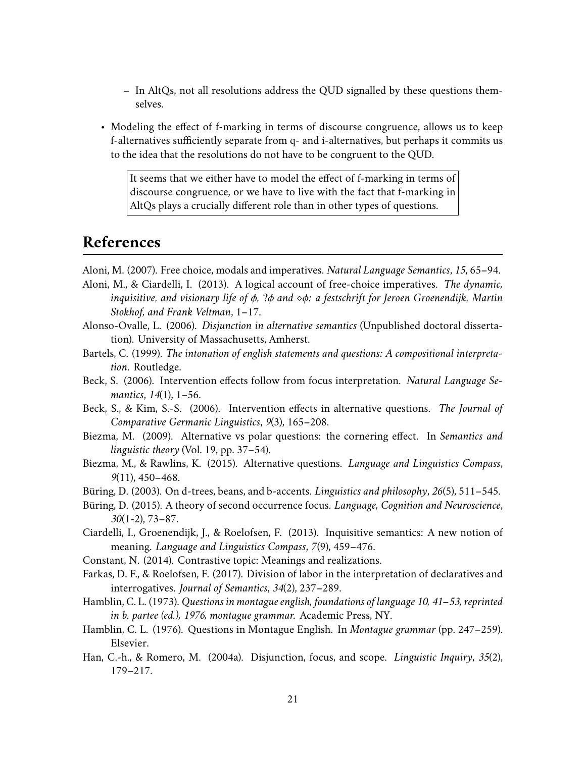- **–** In AltQs, not all resolutions address the QUD signalled by these questions themselves.
- Modeling the effect of f-marking in terms of discourse congruence, allows us to keep f-alternatives sufficiently separate from q- and i-alternatives, but perhaps it commits us to the idea that the resolutions do not have to be congruent to the QUD.

It seems that we either have to model the effect of f-marking in terms of discourse congruence, or we have to live with the fact that f-marking in AltQs plays a crucially different role than in other types of questions.

# **References**

- Aloni, M. (2007). Free choice, modals and imperatives. *Natural Language Semantics*, *15*, 65–94.
- Aloni, M., & Ciardelli, I. (2013). A logical account of free-choice imperatives. *The dynamic, inquisitive, and visionary life of* φ*,* ?φ *and* φ*: a festschrift for Jeroen Groenendijk, Martin Stokhof, and Frank Veltman*, 1–17.
- Alonso-Ovalle, L. (2006). *Disjunction in alternative semantics* (Unpublished doctoral dissertation). University of Massachusetts, Amherst.
- Bartels, C. (1999). *The intonation of english statements and questions: A compositional interpretation*. Routledge.
- Beck, S. (2006). Intervention effects follow from focus interpretation. *Natural Language Semantics*, *14*(1), 1–56.
- Beck, S., & Kim, S.-S. (2006). Intervention effects in alternative questions. *The Journal of Comparative Germanic Linguistics*, *9*(3), 165–208.
- Biezma, M. (2009). Alternative vs polar questions: the cornering effect. In *Semantics and linguistic theory* (Vol. 19, pp. 37–54).
- Biezma, M., & Rawlins, K. (2015). Alternative questions. *Language and Linguistics Compass*, *9*(11), 450–468.
- Büring, D. (2003). On d-trees, beans, and b-accents. *Linguistics and philosophy*, *26*(5), 511–545.
- Büring, D. (2015). A theory of second occurrence focus. *Language, Cognition and Neuroscience*, *30*(1-2), 73–87.
- Ciardelli, I., Groenendijk, J., & Roelofsen, F. (2013). Inquisitive semantics: A new notion of meaning. *Language and Linguistics Compass*, *7*(9), 459–476.
- Constant, N. (2014). Contrastive topic: Meanings and realizations.
- Farkas, D. F., & Roelofsen, F. (2017). Division of labor in the interpretation of declaratives and interrogatives. *Journal of Semantics*, *34*(2), 237–289.
- Hamblin, C. L. (1973). *Questions in montague english, foundations of language 10, 41–53, reprinted in b. partee (ed.), 1976, montague grammar.* Academic Press, NY.
- Hamblin, C. L. (1976). Questions in Montague English. In *Montague grammar* (pp. 247–259). Elsevier.
- Han, C.-h., & Romero, M. (2004a). Disjunction, focus, and scope. *Linguistic Inquiry*, *35*(2), 179–217.